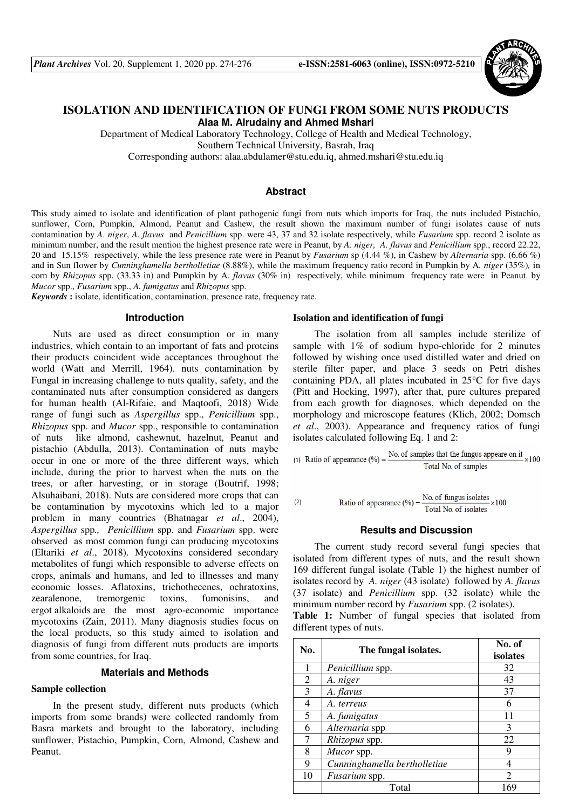

# **ISOLATION AND IDENTIFICATION OF FUNGI FROM SOME NUTS PRODUCTS Alaa M. Alrudainy and Ahmed Mshari**

Department of Medical Laboratory Technology, College of Health and Medical Technology, Southern Technical University, Basrah, Iraq

Corresponding authors: alaa.abdulamer@stu.edu.iq, ahmed.mshari@stu.edu.iq

### **Abstract**

This study aimed to isolate and identification of plant pathogenic fungi from nuts which imports for Iraq, the nuts included Pistachio, sunflower, Corn, Pumpkin, Almond, Peanut and Cashew, the result shown the maximum number of fungi isolates cause of nuts contamination by *A*. *niger*, *A. flavus* and *Penicillium* spp. were 43, 37 and 32 isolate respectively, while *Fusarium* spp. record 2 isolate as minimum number, and the result mention the highest presence rate were in Peanut, by *A. niger, A. flavus* and *Penicillium* spp., record 22.22, 20 and15.15% respectively, while the less presence rate were in Peanut by *Fusarium* sp (4.44 %), in Cashew by *Alternaria* spp. (6.66 %) and in Sun flower by *Cunninghamella bertholletiae* (8.88%), while the maximum frequency ratio record in Pumpkin by A*. niger* (35%)*,* in corn by *Rhizopus* spp. (33.33 in) and Pumpkin by A*. flavus* (30% in) respectively, while minimum frequency rate were in Peanut. by *Mucor* spp., *Fusarium* spp., *A. fumigatus* and *Rhizopus* spp.

*Keywords* **:** isolate, identification, contamination, presence rate, frequency rate.

#### **Introduction**

Nuts are used as direct consumption or in many industries, which contain to an important of fats and proteins their products coincident wide acceptances throughout the world (Watt and Merrill, 1964). nuts contamination by Fungal in increasing challenge to nuts quality, safety, and the contaminated nuts after consumption considered as dangers for human health (Al-Rifaie, and Maqtoofi, 2018) Wide range of fungi such as *Aspergillus* spp., *Penicillium* spp., *Rhizopus* spp. and *Mucor* spp., responsible to contamination of nuts like almond, cashewnut, hazelnut, Peanut and pistachio (Abdulla, 2013). Contamination of nuts maybe occur in one or more of the three different ways, which include, during the prior to harvest when the nuts on the trees, or after harvesting, or in storage (Boutrif, 1998; Alsuhaibani, 2018). Nuts are considered more crops that can be contamination by mycotoxins which led to a major problem in many countries (Bhatnagar *et al*., 2004), *Aspergillus* spp*., Penicillium* spp. and *Fusarium* spp. were observed as most common fungi can producing mycotoxins (Eltariki *et al*., 2018). Mycotoxins considered secondary metabolites of fungi which responsible to adverse effects on crops, animals and humans, and led to illnesses and many economic losses. Aflatoxins, trichothecenes, ochratoxins, zearalenone, tremorgenic toxins, fumonisins, and ergot alkaloids are the most agro-economic importance mycotoxins (Zain, 2011). Many diagnosis studies focus on the local products, so this study aimed to isolation and diagnosis of fungi from different nuts products are imports from some countries, for Iraq.

## **Materials and Methods**

## **Sample collection**

In the present study, different nuts products (which imports from some brands) were collected randomly from Basra markets and brought to the laboratory, including sunflower, Pistachio, Pumpkin, Corn, Almond, Cashew and Peanut.

### **Isolation and identification of fungi**

The isolation from all samples include sterilize of sample with 1% of sodium hypo-chloride for 2 minutes followed by wishing once used distilled water and dried on sterile filter paper, and place 3 seeds on Petri dishes containing PDA, all plates incubated in 25°C for five days (Pitt and Hocking, 1997), after that, pure cultures prepared from each growth for diagnoses, which depended on the morphology and microscope features (Klich, 2002; Domsch *et al*., 2003). Appearance and frequency ratios of fungi isolates calculated following Eq. 1 and 2:

(1) Ratio of appearance (%) =  $\frac{No. of samples that the fungus appear on it}{Total No. of samples} \times 100$ 

(2) Ratio of appearance (
$$
\%
$$
) =  $\frac{\text{No. of fungus isolates}}{\text{Total No. of isolates}} \times 100$ 

## **Results and Discussion**

The current study record several fungi species that isolated from different types of nuts, and the result shown 169 different fungal isolate (Table 1) the highest number of isolates record by *A. niger* (43 isolate) followed by *A. flavus*  (37 isolate) and *Penicillium* spp. (32 isolate) while the minimum number record by *Fusarium* spp. (2 isolates).

**Table 1:** Number of fungal species that isolated from different types of nuts.

| No. | The fungal isolates.         | No. of<br>isolates |  |  |  |  |
|-----|------------------------------|--------------------|--|--|--|--|
| 1   | Penicillium spp.             | 32                 |  |  |  |  |
| 2   | A. niger                     | 43                 |  |  |  |  |
| 3   | A. flavus                    | 37                 |  |  |  |  |
| 4   | A. terreus                   | 6                  |  |  |  |  |
| 5   | A. fumigatus                 | 11                 |  |  |  |  |
| 6   | Alternaria spp               | 3                  |  |  |  |  |
| 7   | Rhizopus spp.                | 22                 |  |  |  |  |
| 8   | Mucor spp.                   | Q                  |  |  |  |  |
| 9   | Cunninghamella bertholletiae |                    |  |  |  |  |
| 10  | Fusarium spp.                | $\mathfrak{D}$     |  |  |  |  |
|     | Total                        | 169                |  |  |  |  |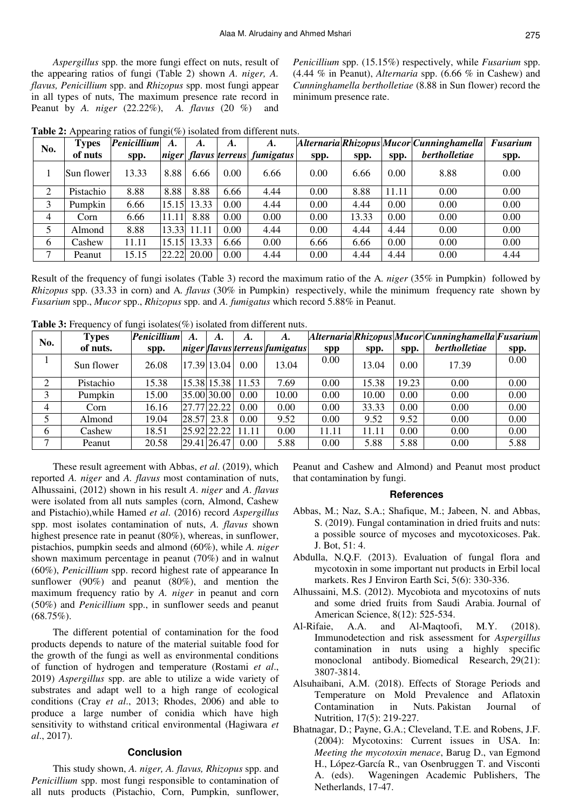*Aspergillus* spp. the more fungi effect on nuts, result of the appearing ratios of fungi (Table 2) shown *A. niger, A. flavus, Penicillium* spp. and *Rhizopus* spp. most fungi appear in all types of nuts, The maximum presence rate record in Peanut by *A. niger* (22.22%), *A. flavus* (20 %)and

*Penicillium* spp. (15.15%) respectively, while *Fusarium* spp. (4.44 % in Peanut), *Alternaria* spp. (6.66 % in Cashew) and *Cunninghamella bertholletiae* (8.88 in Sun flower) record the minimum presence rate.

|  | <b>Table 2:</b> Appearing ratios of fungi( $\%$ ) isolated from different nuts. |      |                                    |  |           |                                                        |      |                     |  |  |
|--|---------------------------------------------------------------------------------|------|------------------------------------|--|-----------|--------------------------------------------------------|------|---------------------|--|--|
|  | No.                                                                             |      | <b>Types</b> <i>Penicillium A.</i> |  | <b>A.</b> |                                                        | A.   | Alternaria Rhizopus |  |  |
|  | of nuts                                                                         | spp. |                                    |  |           | $\vert$ niger $\vert$ flavus terreus $\vert$ fumigatus | spp. | spp.                |  |  |

| No. | Types      | <b>Penicillium</b> | A.    | A.          | A.   | A.                             |      |       |       | $ Alternaria Rhizopus Mucor Cunninghamella  Fusarium$ |      |
|-----|------------|--------------------|-------|-------------|------|--------------------------------|------|-------|-------|-------------------------------------------------------|------|
|     | of nuts    | spp.               |       |             |      | niger flavus terreus fumigatus | spp. | spp.  | spp.  | <i>bertholletiae</i>                                  | spp. |
|     | Sun flower | 13.33              | 8.88  | 6.66        | 0.00 | 6.66                           | 0.00 | 6.66  | 0.00  | 8.88                                                  | 0.00 |
| 2   | Pistachio  | 8.88               | 8.88  | 8.88        | 6.66 | 4.44                           | 0.00 | 8.88  | 11.11 | 0.00                                                  | 0.00 |
| 3   | Pumpkin    | 6.66               |       | 15.15 13.33 | 0.00 | 4.44                           | 0.00 | 4.44  | 0.00  | 0.00                                                  | 0.00 |
| 4   | Corn       | 6.66               | 11.11 | 8.88        | 0.00 | 0.00                           | 0.00 | 13.33 | 0.00  | 0.00                                                  | 0.00 |
| 5   | Almond     | 8.88               |       | 13.33 11.11 | 0.00 | 4.44                           | 0.00 | 4.44  | 4.44  | 0.00                                                  | 0.00 |
| 6   | Cashew     | 11.11              |       | 15.15 13.33 | 6.66 | 0.00                           | 6.66 | 6.66  | 0.00  | 0.00                                                  | 0.00 |
| ⇁   | Peanut     | 15.15              |       | 22.22 20.00 | 0.00 | 4.44                           | 0.00 | 4.44  | 4.44  | 0.00                                                  | 4.44 |

Result of the frequency of fungi isolates (Table 3) record the maximum ratio of the A*. niger* (35% in Pumpkin)followed by *Rhizopus* spp. (33.33 in corn) and A*. flavus* (30% in Pumpkin) respectively, while the minimum frequency rate shown by *Fusarium* spp., *Mucor* spp., *Rhizopus* spp. and *A. fumigatus* which record 5.88% in Peanut.

| No. | <b>Types</b> | <b>Penicillium</b> | A.    | A.          | A.    | A.                             |            |       |       | $[Alternaria] Rhizopus Mucor] Cunning hamella] Fusarium$ |      |
|-----|--------------|--------------------|-------|-------------|-------|--------------------------------|------------|-------|-------|----------------------------------------------------------|------|
|     | of nuts.     | spp.               |       |             |       | niger flavus terreus fumigatus | <b>spp</b> | spp.  | spp.  | <i>bertholletiae</i>                                     | spp. |
|     | Sun flower   | 26.08              |       | 17.3913.041 | 0.00  | 13.04                          | 0.00       | 13.04 | 0.00  | 17.39                                                    | 0.00 |
| ↑   | Pistachio    | 15.38              |       | 15.38 15.38 | 11.53 | 7.69                           | 0.00       | 15.38 | 19.23 | 0.00                                                     | 0.00 |
| 3   | Pumpkin      | 15.00              |       | 35.00 30.00 | 0.00  | 10.00                          | 0.00       | 10.00 | 0.00  | 0.00                                                     | 0.00 |
| 4   | Corn         | 16.16              |       | 27.77 22.22 | 0.00  | 0.00                           | 0.00       | 33.33 | 0.00  | 0.00                                                     | 0.00 |
|     | Almond       | 19.04              | 28.57 | 23.8        | 0.00  | 9.52                           | 0.00       | 9.52  | 9.52  | 0.00                                                     | 0.00 |
| 6   | Cashew       | 18.51              |       | 25.92 22.22 | 11.11 | 0.00                           | 11.11      | 11.11 | 0.00  | 0.00                                                     | 0.00 |
| ⇁   | Peanut       | 20.58              |       | 29.41 26.47 | 0.00  | 5.88                           | 0.00       | 5.88  | 5.88  | 0.00                                                     | 5.88 |

**Table 3:** Frequency of fungi isolates(%) isolated from different nuts.

These result agreement with Abbas, *et al*. (2019), which reported *A. niger* and *A. flavus* most contamination of nuts, Alhussaini, (2012) shown in his result *A*. *niger* and *A*. *flavus*  were isolated from all nuts samples (corn, Almond, Cashew and Pistachio),while Hamed *et al*. (2016) record *Aspergillus* spp. most isolates contamination of nuts, *A. flavus* shown highest presence rate in peanut (80%), whereas, in sunflower, pistachios, pumpkin seeds and almond (60%), while *A. niger*  shown maximum percentage in peanut (70%) and in walnut (60%), *Penicillium* spp. record highest rate of appearance In sunflower (90%) and peanut (80%), and mention the maximum frequency ratio by *A. niger* in peanut and corn (50%) and *Penicillium* spp., in sunflower seeds and peanut  $(68.75\%)$ .

The different potential of contamination for the food products depends to nature of the material suitable food for the growth of the fungi as well as environmental conditions of function of hydrogen and temperature (Rostami *et al*., 2019) *Aspergillus* spp. are able to utilize a wide variety of substrates and adapt well to a high range of ecological conditions (Cray *et al*., 2013; Rhodes, 2006) and able to produce a large number of conidia which have high sensitivity to withstand critical environmental (Hagiwara *et al*., 2017).

## **Conclusion**

This study shown, *A. niger, A. flavus, Rhizopus* spp. and *Penicillium* spp. most fungi responsible to contamination of all nuts products (Pistachio, Corn, Pumpkin, sunflower, Peanut and Cashew and Almond) and Peanut most product that contamination by fungi.

### **References**

- Abbas, M.; Naz, S.A.; Shafique, M.; Jabeen, N. and Abbas, S. (2019). Fungal contamination in dried fruits and nuts: a possible source of mycoses and mycotoxicoses. Pak. J. Bot, 51: 4.
- Abdulla, N.Q.F. (2013). Evaluation of fungal flora and mycotoxin in some important nut products in Erbil local markets. Res J Environ Earth Sci, 5(6): 330-336.
- Alhussaini, M.S. (2012). Mycobiota and mycotoxins of nuts and some dried fruits from Saudi Arabia. Journal of American Science, 8(12): 525-534.
- Al-Rifaie, A.A. and Al-Maqtoofi, M.Y. (2018). Immunodetection and risk assessment for *Aspergillus* contamination in nuts using a highly specific monoclonal antibody. Biomedical Research, 29(21): 3807-3814.
- Alsuhaibani, A.M. (2018). Effects of Storage Periods and Temperature on Mold Prevalence and Aflatoxin Contamination in Nuts. Pakistan Journal of Nutrition, 17(5): 219-227.
- Bhatnagar, D.; Payne, G.A.; Cleveland, T.E. and Robens, J.F. (2004): Mycotoxins: Current issues in USA. In: *Meeting the mycotoxin menace*, Barug D., van Egmond H., López-García R., van Osenbruggen T. and Visconti A. (eds). Wageningen Academic Publishers, The Netherlands, 17-47.